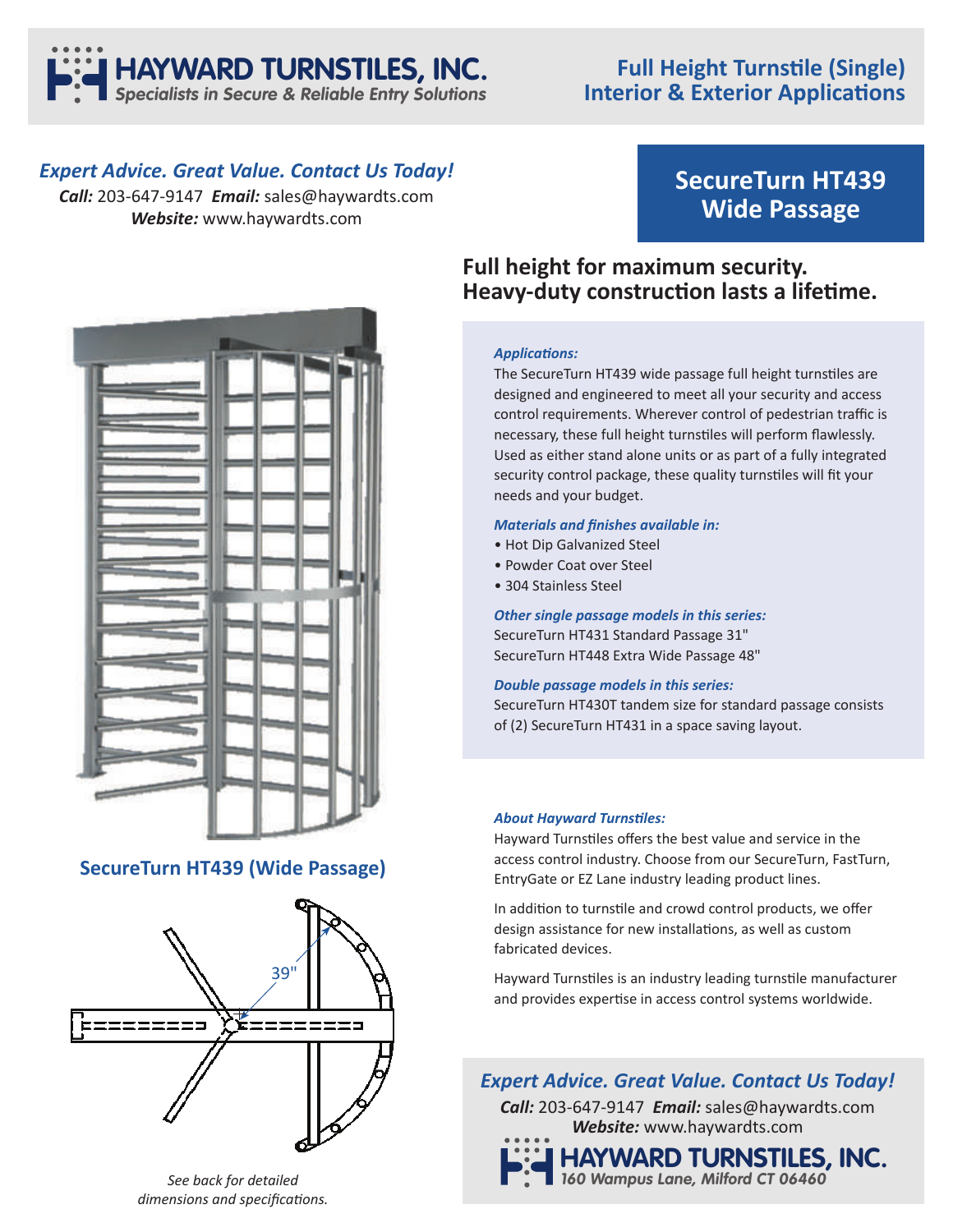

## **Full Height Turnstile (Single) Interior & Exterior Applications**

### *Expert Advice. Great Value. Contact Us Today!*

*Call:* 203-647-9147 *Email:* sales@haywardts.com *Website:* www.haywardts.com

# **SecureTurn HT439 Wide Passage**



### **SecureTurn HT439 (Wide Passage)**



# **Full height for maximum security. Heavy-duty construction lasts a lifetime.**

### **Applications:**

The SecureTurn HT439 wide passage full height turnstiles are designed and engineered to meet all your security and access control requirements. Wherever control of pedestrian traffic is necessary, these full height turnstiles will perform flawlessly. Used as either stand alone units or as part of a fully integrated security control package, these quality turnstiles will fit your needs and your budget.

### **Materials and finishes available in:**

- Hot Dip Galvanized Steel
- Powder Coat over Steel
- 304 Stainless Steel

*Other single passage models in this series:* SecureTurn HT431 Standard Passage 31" SecureTurn HT448 Extra Wide Passage 48"

### *Double passage models in this series:*

SecureTurn HT430T tandem size for standard passage consists of (2) SecureTurn HT431 in a space saving layout.

### **About Hayward Turnstiles:**

Hayward Turnstiles offers the best value and service in the access control industry. Choose from our SecureTurn, FastTurn, EntryGate or EZ Lane industry leading product lines.

In addition to turnstile and crowd control products, we offer design assistance for new installations, as well as custom fabricated devices.

Hayward Turnstiles is an industry leading turnstile manufacturer and provides expertise in access control systems worldwide.

### *Expert Advice. Great Value. Contact Us Today!*

*Call:* 203-647-9147 *Email:* sales@haywardts.com *Website:* www.haywardts.com



### *See back for detailed dimensions and specifications.*